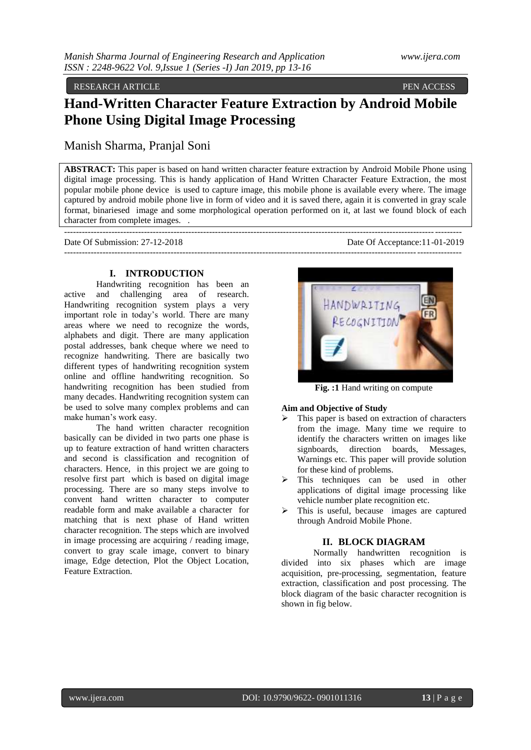RESEARCH ARTICLE **PEN ACCESS** 

# **Hand-Written Character Feature Extraction by Android Mobile Phone Using Digital Image Processing**

Manish Sharma, Pranjal Soni

**ABSTRACT:** This paper is based on hand written character feature extraction by Android Mobile Phone using digital image processing. This is handy application of Hand Written Character Feature Extraction, the most popular mobile phone device is used to capture image, this mobile phone is available every where. The image captured by android mobile phone live in form of video and it is saved there, again it is converted in gray scale format, binariesed image and some morphological operation performed on it, at last we found block of each character from complete images. .

| Date Of Submission: 27-12-2018 | Date Of Acceptance: 11-01-2019 |
|--------------------------------|--------------------------------|
|                                |                                |

## **I. INTRODUCTION**

Handwriting recognition has been an active and challenging area of research. Handwriting recognition system plays a very important role in today's world. There are many areas where we need to recognize the words, alphabets and digit. There are many application postal addresses, bank cheque where we need to recognize handwriting. There are basically two different types of handwriting recognition system online and offline handwriting recognition. So handwriting recognition has been studied from many decades. Handwriting recognition system can be used to solve many complex problems and can make human's work easy.

The hand written character recognition basically can be divided in two parts one phase is up to feature extraction of hand written characters and second is classification and recognition of characters. Hence, in this project we are going to resolve first part which is based on digital image processing. There are so many steps involve to convent hand written character to computer readable form and make available a character for matching that is next phase of Hand written character recognition. The steps which are involved in image processing are acquiring / reading image, convert to gray scale image, convert to binary image, Edge detection, Plot the Object Location, Feature Extraction.



**Fig. :1** Hand writing on compute

## **Aim and Objective of Study**

- This paper is based on extraction of characters from the image. Many time we require to identify the characters written on images like signboards, direction boards, Messages, Warnings etc. This paper will provide solution for these kind of problems.
- This techniques can be used in other applications of digital image processing like vehicle number plate recognition etc.
- $\triangleright$  This is useful, because images are captured through Android Mobile Phone.

## **II. BLOCK DIAGRAM**

Normally handwritten recognition is divided into six phases which are image acquisition, pre-processing, segmentation, feature extraction, classification and post processing. The block diagram of the basic character recognition is shown in fig below.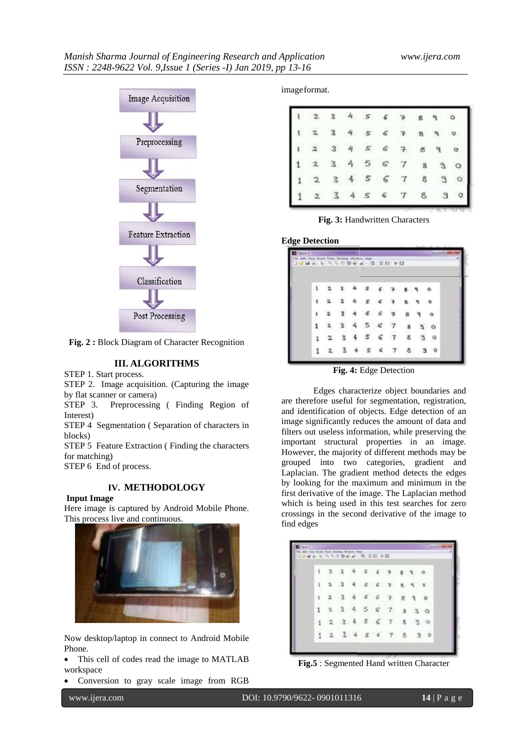

**Fig. 2 :** Block Diagram of Character Recognition

# **III. ALGORITHMS**

STEP 1. Start process.

STEP 2. Image acquisition. (Capturing the image by flat scanner or camera)

STEP 3. Preprocessing ( Finding Region of Interest)

STEP 4 Segmentation ( Separation of characters in blocks)

STEP 5 Feature Extraction ( Finding the characters for matching)

STEP 6 End of process.

# **IV. METHODOLOGY**

**Input Image**

Here image is captured by Android Mobile Phone. This process live and continuous.



Now desktop/laptop in connect to Android Mobile Phone.

• This cell of codes read the image to MATLAB workspace

Conversion to gray scale image from RGB

imageformat.

|   |                         |   |   |                | 6                  |                   | $\mathbf{g}$ |             |   |
|---|-------------------------|---|---|----------------|--------------------|-------------------|--------------|-------------|---|
| ١ |                         | з |   | $\sqrt{s}$     | $\hat{\mathbf{s}}$ | $\overline{\tau}$ | B            |             |   |
|   |                         | 3 | 4 | $\sqrt{s}$     | $\epsilon$         | 7                 | 8            | $\mathbb P$ |   |
|   |                         | 3 |   | $\mathfrak{p}$ | $\varsigma$        | $\boldsymbol{7}$  | 8            |             | o |
|   | $\overline{\mathbf{c}}$ |   |   |                | $\epsilon$         |                   | ŝ            |             | ò |
|   |                         |   |   |                | $\mathsf{G}$       | 7                 | 8            |             |   |

**Fig. 3:** Handwritten Characters

**Edge Detection**

|   |                          | time bown Type-Factory Woulder Phila- |                | 10.999577709974978884 |             |               |          |
|---|--------------------------|---------------------------------------|----------------|-----------------------|-------------|---------------|----------|
|   |                          |                                       | $\mathcal S$   |                       |             |               |          |
| ۲ | 23                       |                                       |                |                       |             | $A S G R B R$ |          |
| t | $\overline{\phantom{a}}$ |                                       |                | 4 5 6 7               | $8^{\circ}$ |               | $\alpha$ |
|   |                          |                                       | 5 <sub>6</sub> | -7                    | 溝           |               |          |
| 1 | -2                       |                                       | 56             | $\tau$                | ŝ           |               | $\circ$  |
|   | 2                        |                                       |                | 345678                |             | э             | ಂ        |

**Fig. 4:** Edge Detection

Edges characterize object boundaries and are therefore useful for segmentation, registration, and identification of objects. Edge detection of an image significantly reduces the amount of data and filters out useless information, while preserving the important structural properties in an image. However, the majority of different methods may be grouped into two categories, gradient and Laplacian. The gradient method detects the edges by looking for the maximum and minimum in the first derivative of the image. The Laplacian method which is being used in this test searches for zero crossings in the second derivative of the image to find edges

| 1089 5 550994-008 58 |                         |                         |                       |  |                           |      |              |            |
|----------------------|-------------------------|-------------------------|-----------------------|--|---------------------------|------|--------------|------------|
| $\mathbf{1}$         | $\overline{\mathbf{2}}$ | $\overline{\mathbf{z}}$ | $\boldsymbol{\theta}$ |  |                           |      | $\mathbf{q}$ |            |
| $\Lambda$            | $\mathcal{L}$           |                         |                       |  | 34563890                  |      |              |            |
| 1                    | $\overline{\mathbf{2}}$ | $\cdot$ 3               |                       |  | 4567                      | s.   | $\theta$     | $^{\circ}$ |
| 4                    | $\mathbb{R}$            |                         |                       |  | 3 4 5 6 7                 | $-8$ | 30           |            |
| л                    |                         |                         |                       |  | 2, 3, 4, 5, 6, 7, 8, 9, 0 |      |              |            |
| -1                   |                         | 23456                   |                       |  | $\tau$                    |      | 8 3 0        |            |

**Fig.5** : Segmented Hand written Character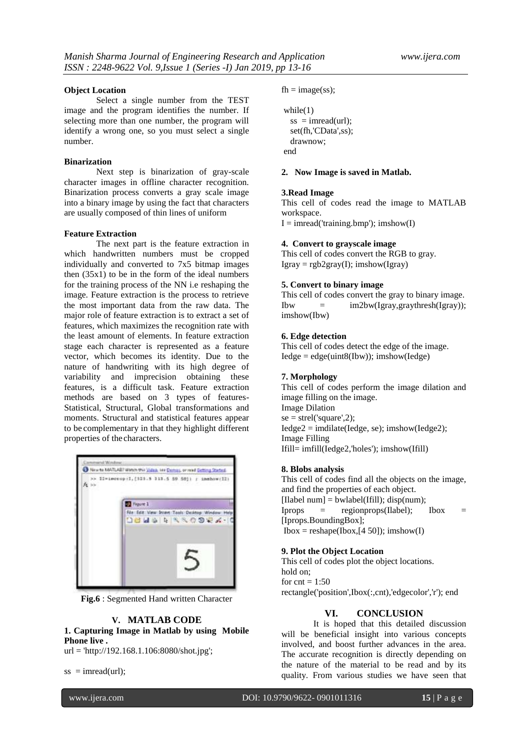#### **Object Location**

Select a single number from the TEST image and the program identifies the number. If selecting more than one number, the program will identify a wrong one, so you must select a single number.

#### **Binarization**

Next step is binarization of gray-scale character images in offline character recognition. Binarization process converts a gray scale image into a binary image by using the fact that characters are usually composed of thin lines of uniform

## **Feature Extraction**

The next part is the feature extraction in which handwritten numbers must be cropped individually and converted to 7x5 bitmap images then  $(35x1)$  to be in the form of the ideal numbers for the training process of the NN i.e reshaping the image. Feature extraction is the process to retrieve the most important data from the raw data. The major role of feature extraction is to extract a set of features, which maximizes the recognition rate with the least amount of elements. In feature extraction stage each character is represented as a feature vector, which becomes its identity. Due to the nature of handwriting with its high degree of variability and imprecision obtaining these features, is a difficult task. Feature extraction methods are based on 3 types of features-Statistical, Structural, Global transformations and moments. Structural and statistical features appear to be complementary in that they highlight different properties of the characters.



**Fig.6** : Segmented Hand written Character

## **V. MATLAB CODE**

**1. Capturing Image in Matlab by using Mobile Phone live .**

url = 'http://192.168.1.106:8080/shot.jpg';

 $ss = \text{imread}(\text{url});$ 

 $fh = image(ss);$ 

```
while(1)ss = \text{imread}(\text{url});
  set(fh,'CData',ss);
   drawnow;
end
```
#### **2. Now Image is saved in Matlab.**

#### **3.Read Image**

This cell of codes read the image to MATLAB workspace.

 $I = \text{imread('training.bmp')}: \text{imshow(I)}$ 

#### **4. Convert to grayscale image**

This cell of codes convert the RGB to gray.  $Igray = rgb2gray(I); imshow(Igray)$ 

#### **5. Convert to binary image**

This cell of codes convert the gray to binary image. Ibw  $=$   $im2bw(Igrav,gravthreshold(Igrav))$ ; imshow(Ibw)

#### **6. Edge detection**

This cell of codes detect the edge of the image.  $Iedge = edge$ (uint $8(Ibw)$ ); imshow( $Iedge$ )

#### **7. Morphology**

This cell of codes perform the image dilation and image filling on the image. Image Dilation  $se = \text{strel}(\text{'square}'.2)$ ; Iedge2 = imdilate(Iedge, se); imshow(Iedge2); Image Filling Ifill= imfill(Iedge2,'holes'); imshow(Ifill)

#### **8. Blobs analysis**

This cell of codes find all the objects on the image, and find the properties of each object. [Ilabel num] = bwlabel(Ifill); disp(num);  $Iprops = regionprops(IIabel);$   $Ibox =$ [Iprops.BoundingBox];  $Ibox = reshape(Ibox, [4 50])$ ; imshow(I)

# **9. Plot the Object Location**

This cell of codes plot the object locations. hold on; for  $cnt = 1:50$ rectangle('position',Ibox(:,cnt),'edgecolor','r'); end

## **VI. CONCLUSION**

It is hoped that this detailed discussion will be beneficial insight into various concepts involved, and boost further advances in the area. The accurate recognition is directly depending on the nature of the material to be read and by its quality. From various studies we have seen that